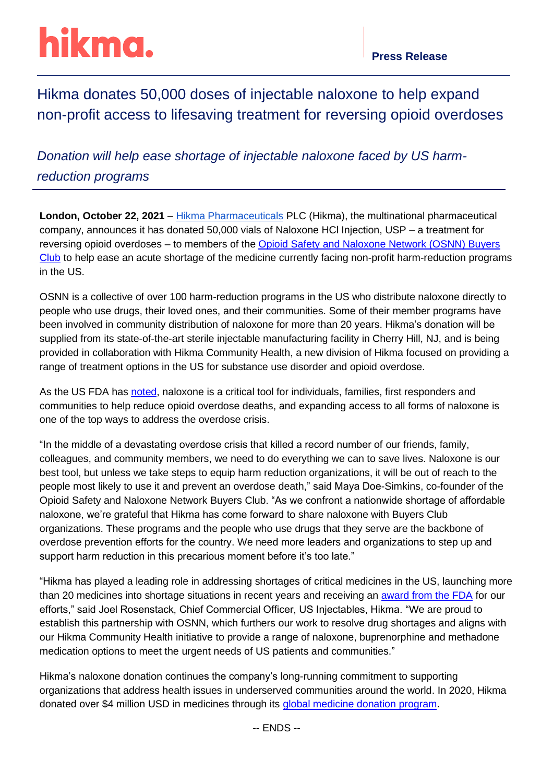# hikma.

## Hikma donates 50,000 doses of injectable naloxone to help expand non-profit access to lifesaving treatment for reversing opioid overdoses

*Donation will help ease shortage of injectable naloxone faced by US harmreduction programs*

**London, October 22, 2021** – [Hikma Pharmaceuticals](https://www.hikma.com/home/) PLC (Hikma), the multinational pharmaceutical company, announces it has donated 50,000 vials of Naloxone HCl Injection, USP – a treatment for reversing opioid overdoses – to members of the [Opioid Safety and Naloxone Network \(OSNN\) Buyers](https://osnnbuyersclub.com/)  [Club](https://osnnbuyersclub.com/) to help ease an acute shortage of the medicine currently facing non-profit harm-reduction programs in the US.

OSNN is a collective of over 100 harm-reduction programs in the US who distribute naloxone directly to people who use drugs, their loved ones, and their communities. Some of their member programs have been involved in community distribution of naloxone for more than 20 years. Hikma's donation will be supplied from its state-of-the-art sterile injectable manufacturing facility in Cherry Hill, NJ, and is being provided in collaboration with Hikma Community Health, a new division of Hikma focused on providing a range of treatment options in the US for substance use disorder and opioid overdose.

As the US FDA has [noted,](https://www.fda.gov/news-events/press-announcements/statement-continued-efforts-increase-availability-all-forms-naloxone-help-reduce-opioid-overdose) naloxone is a critical tool for individuals, families, first responders and communities to help reduce opioid overdose deaths, and expanding access to all forms of naloxone is one of the top ways to address the overdose crisis.

"In the middle of a devastating overdose crisis that killed a record number of our friends, family, colleagues, and community members, we need to do everything we can to save lives. Naloxone is our best tool, but unless we take steps to equip harm reduction organizations, it will be out of reach to the people most likely to use it and prevent an overdose death," said Maya Doe-Simkins, co-founder of the Opioid Safety and Naloxone Network Buyers Club. "As we confront a nationwide shortage of affordable naloxone, we're grateful that Hikma has come forward to share naloxone with Buyers Club organizations. These programs and the people who use drugs that they serve are the backbone of overdose prevention efforts for the country. We need more leaders and organizations to step up and support harm reduction in this precarious moment before it's too late."

"Hikma has played a leading role in addressing shortages of critical medicines in the US, launching more than 20 medicines into shortage situations in recent years and receiving an [award from the FDA](https://www.hikma.com/newsroom/article-i2246-hikma-receives-drug-shortage-assistance-award-from-us-fda/) for our efforts," said Joel Rosenstack, Chief Commercial Officer, US Injectables, Hikma. "We are proud to establish this partnership with OSNN, which furthers our work to resolve drug shortages and aligns with our Hikma Community Health initiative to provide a range of naloxone, buprenorphine and methadone medication options to meet the urgent needs of US patients and communities."

Hikma's naloxone donation continues the company's long-running commitment to supporting organizations that address health issues in underserved communities around the world. In 2020, Hikma donated over \$4 million USD in medicines through its [global medicine donation program.](https://www.hikma.com/newsroom/article-i4999-hikma-donates-over-4-million-usd-in-medicines-and-signs-new-long-term-partnerships-with-dispensary-of-hope-direct-relief-americares-brother-s-brother-foundation-and-the-national-children-s-cancer-society/)